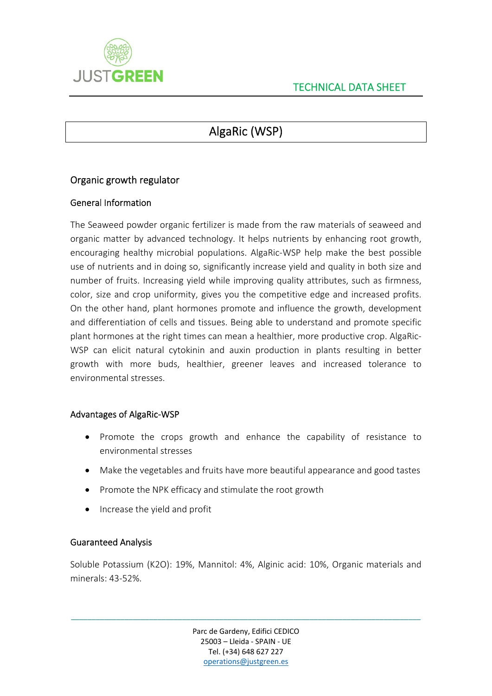

# AlgaRic (WSP)

## Organic growth regulator

### General Information

The Seaweed powder organic fertilizer is made from the raw materials of seaweed and organic matter by advanced technology. It helps nutrients by enhancing root growth, encouraging healthy microbial populations. AlgaRic‐WSP help make the best possible use of nutrients and in doing so, significantly increase yield and quality in both size and number of fruits. Increasing yield while improving quality attributes, such as firmness, color, size and crop uniformity, gives you the competitive edge and increased profits. On the other hand, plant hormones promote and influence the growth, development and differentiation of cells and tissues. Being able to understand and promote specific plant hormones at the right times can mean a healthier, more productive crop. AlgaRic‐ WSP can elicit natural cytokinin and auxin production in plants resulting in better growth with more buds, healthier, greener leaves and increased tolerance to environmental stresses.

#### Advantages of AlgaRic‐WSP

- Promote the crops growth and enhance the capability of resistance to environmental stresses
- Make the vegetables and fruits have more beautiful appearance and good tastes
- Promote the NPK efficacy and stimulate the root growth
- Increase the yield and profit

#### Guaranteed Analysis

Soluble Potassium (K2O): 19%, Mannitol: 4%, Alginic acid: 10%, Organic materials and minerals: 43‐52%.

> Parc de Gardeny, Edifici CEDICO 25003 – Lleida ‐ SPAIN ‐ UE Tel. (+34) 648 627 227 operations@justgreen.es

\_\_\_\_\_\_\_\_\_\_\_\_\_\_\_\_\_\_\_\_\_\_\_\_\_\_\_\_\_\_\_\_\_\_\_\_\_\_\_\_\_\_\_\_\_\_\_\_\_\_\_\_\_\_\_\_\_\_\_\_\_\_\_\_\_\_\_\_\_\_\_\_\_\_\_\_\_\_\_\_\_\_\_\_\_